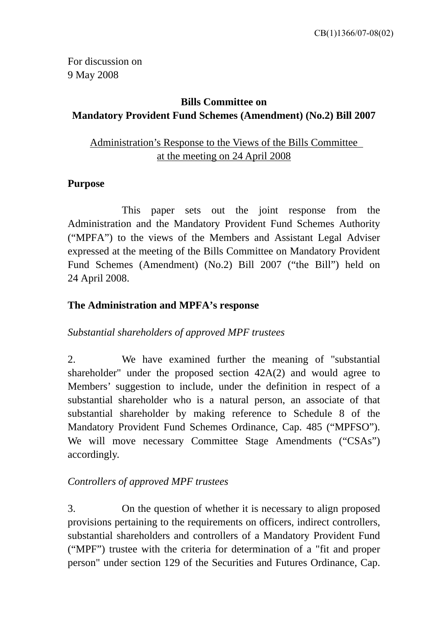For discussion on 9 May 2008

# **Bills Committee on Mandatory Provident Fund Schemes (Amendment) (No.2) Bill 2007**

Administration's Response to the Views of the Bills Committee at the meeting on 24 April 2008

## **Purpose**

 This paper sets out the joint response from the Administration and the Mandatory Provident Fund Schemes Authority ("MPFA") to the views of the Members and Assistant Legal Adviser expressed at the meeting of the Bills Committee on Mandatory Provident Fund Schemes (Amendment) (No.2) Bill 2007 ("the Bill") held on 24 April 2008.

## **The Administration and MPFA's response**

*Substantial shareholders of approved MPF trustees* 

2. We have examined further the meaning of "substantial shareholder" under the proposed section 42A(2) and would agree to Members' suggestion to include, under the definition in respect of a substantial shareholder who is a natural person, an associate of that substantial shareholder by making reference to Schedule 8 of the Mandatory Provident Fund Schemes Ordinance, Cap. 485 ("MPFSO"). We will move necessary Committee Stage Amendments ("CSAs") accordingly.

# *Controllers of approved MPF trustees*

3. On the question of whether it is necessary to align proposed provisions pertaining to the requirements on officers, indirect controllers, substantial shareholders and controllers of a Mandatory Provident Fund ("MPF") trustee with the criteria for determination of a "fit and proper person" under section 129 of the Securities and Futures Ordinance, Cap.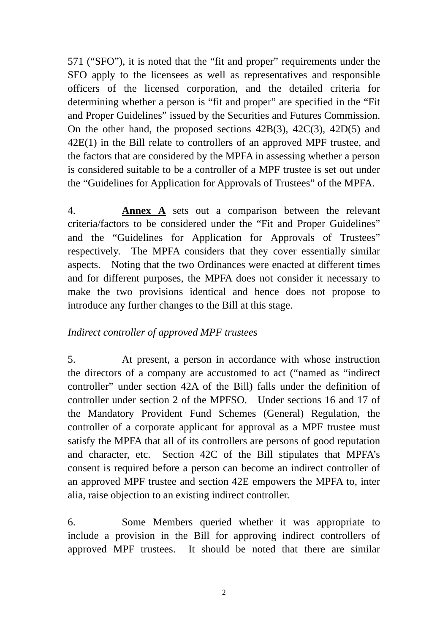571 ("SFO"), it is noted that the "fit and proper" requirements under the SFO apply to the licensees as well as representatives and responsible officers of the licensed corporation, and the detailed criteria for determining whether a person is "fit and proper" are specified in the "Fit and Proper Guidelines" issued by the Securities and Futures Commission. On the other hand, the proposed sections 42B(3), 42C(3), 42D(5) and 42E(1) in the Bill relate to controllers of an approved MPF trustee, and the factors that are considered by the MPFA in assessing whether a person is considered suitable to be a controller of a MPF trustee is set out under the "Guidelines for Application for Approvals of Trustees" of the MPFA.

4. **Annex A** sets out a comparison between the relevant criteria/factors to be considered under the "Fit and Proper Guidelines" and the "Guidelines for Application for Approvals of Trustees" respectively. The MPFA considers that they cover essentially similar aspects. Noting that the two Ordinances were enacted at different times and for different purposes, the MPFA does not consider it necessary to make the two provisions identical and hence does not propose to introduce any further changes to the Bill at this stage.

## *Indirect controller of approved MPF trustees*

5. At present, a person in accordance with whose instruction the directors of a company are accustomed to act ("named as "indirect controller" under section 42A of the Bill) falls under the definition of controller under section 2 of the MPFSO. Under sections 16 and 17 of the Mandatory Provident Fund Schemes (General) Regulation, the controller of a corporate applicant for approval as a MPF trustee must satisfy the MPFA that all of its controllers are persons of good reputation and character, etc. Section 42C of the Bill stipulates that MPFA's consent is required before a person can become an indirect controller of an approved MPF trustee and section 42E empowers the MPFA to, inter alia, raise objection to an existing indirect controller.

6. Some Members queried whether it was appropriate to include a provision in the Bill for approving indirect controllers of approved MPF trustees. It should be noted that there are similar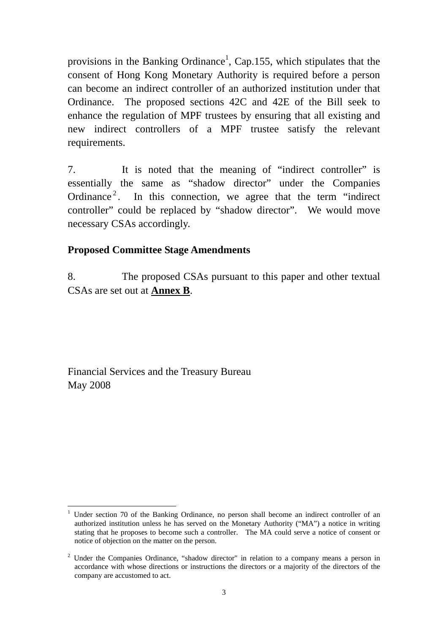provisions in the Banking Ordinance<sup>1</sup>, Cap.155, which stipulates that the consent of Hong Kong Monetary Authority is required before a person can become an indirect controller of an authorized institution under that Ordinance. The proposed sections 42C and 42E of the Bill seek to enhance the regulation of MPF trustees by ensuring that all existing and new indirect controllers of a MPF trustee satisfy the relevant requirements.

7. It is noted that the meaning of "indirect controller" is essentially the same as "shadow director" under the Companies Ordinance<sup>2</sup>. In this connection, we agree that the term "indirect" controller" could be replaced by "shadow director". We would move necessary CSAs accordingly.

### **Proposed Committee Stage Amendments**

8. The proposed CSAs pursuant to this paper and other textual CSAs are set out at **Annex B**.

Financial Services and the Treasury Bureau May 2008

<sup>&</sup>lt;u>.</u> 1 Under section 70 of the Banking Ordinance, no person shall become an indirect controller of an authorized institution unless he has served on the Monetary Authority ("MA") a notice in writing stating that he proposes to become such a controller. The MA could serve a notice of consent or notice of objection on the matter on the person.

 $2$  Under the Companies Ordinance, "shadow director" in relation to a company means a person in accordance with whose directions or instructions the directors or a majority of the directors of the company are accustomed to act.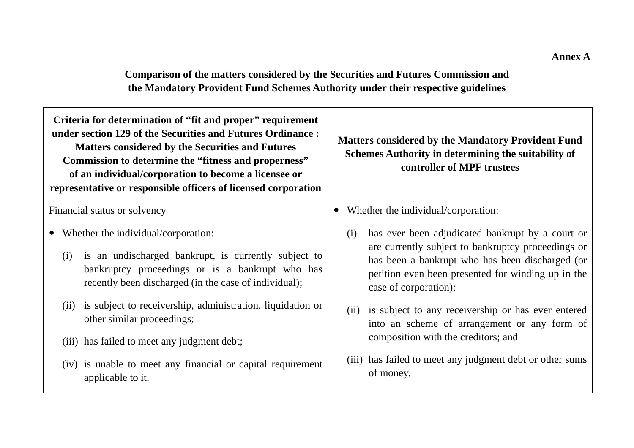**Comparison of the matters considered by the Securities and Futures Commission and the Mandatory Provident Fund Schemes Authority under their respective guidelines** 

| Criteria for determination of "fit and proper" requirement<br>under section 129 of the Securities and Futures Ordinance:<br><b>Matters considered by the Securities and Futures</b><br>Commission to determine the "fitness and properness"<br>of an individual/corporation to become a licensee or<br>representative or responsible officers of licensed corporation | <b>Matters considered by the Mandatory Provident Fund</b><br>Schemes Authority in determining the suitability of<br>controller of MPF trustees                                                                                                  |  |
|-----------------------------------------------------------------------------------------------------------------------------------------------------------------------------------------------------------------------------------------------------------------------------------------------------------------------------------------------------------------------|-------------------------------------------------------------------------------------------------------------------------------------------------------------------------------------------------------------------------------------------------|--|
| Financial status or solvency                                                                                                                                                                                                                                                                                                                                          | Whether the individual/corporation:                                                                                                                                                                                                             |  |
| Whether the individual/corporation:<br>is an undischarged bankrupt, is currently subject to<br>(i)<br>bankruptcy proceedings or is a bankrupt who has<br>recently been discharged (in the case of individual);                                                                                                                                                        | has ever been adjudicated bankrupt by a court or<br>(i)<br>are currently subject to bankruptcy proceedings or<br>has been a bankrupt who has been discharged (or<br>petition even been presented for winding up in the<br>case of corporation); |  |
| (ii) is subject to receivership, administration, liquidation or<br>other similar proceedings;<br>(iii) has failed to meet any judgment debt;                                                                                                                                                                                                                          | is subject to any receivership or has ever entered<br>(ii)<br>into an scheme of arrangement or any form of<br>composition with the creditors; and                                                                                               |  |
| (iv) is unable to meet any financial or capital requirement<br>applicable to it.                                                                                                                                                                                                                                                                                      | (iii) has failed to meet any judgment debt or other sums<br>of money.                                                                                                                                                                           |  |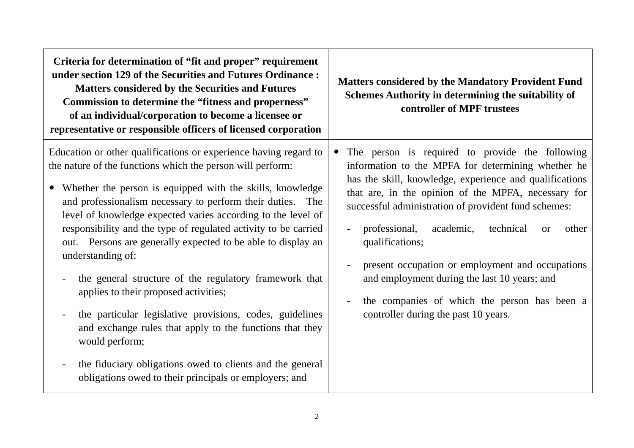| Criteria for determination of "fit and proper" requirement<br>under section 129 of the Securities and Futures Ordinance:<br><b>Matters considered by the Securities and Futures</b><br>Commission to determine the "fitness and properness"<br>of an individual/corporation to become a licensee or<br>representative or responsible officers of licensed corporation                                                                                                                                                                                                                                                                                                                                                                                                                                                                                 | <b>Matters considered by the Mandatory Provident Fund</b><br>Schemes Authority in determining the suitability of<br>controller of MPF trustees                                                                                                                                                                                                                                                                                                                                                                                                                                              |
|-------------------------------------------------------------------------------------------------------------------------------------------------------------------------------------------------------------------------------------------------------------------------------------------------------------------------------------------------------------------------------------------------------------------------------------------------------------------------------------------------------------------------------------------------------------------------------------------------------------------------------------------------------------------------------------------------------------------------------------------------------------------------------------------------------------------------------------------------------|---------------------------------------------------------------------------------------------------------------------------------------------------------------------------------------------------------------------------------------------------------------------------------------------------------------------------------------------------------------------------------------------------------------------------------------------------------------------------------------------------------------------------------------------------------------------------------------------|
| Education or other qualifications or experience having regard to<br>the nature of the functions which the person will perform:<br>Whether the person is equipped with the skills, knowledge<br>and professionalism necessary to perform their duties. The<br>level of knowledge expected varies according to the level of<br>responsibility and the type of regulated activity to be carried<br>out. Persons are generally expected to be able to display an<br>understanding of:<br>the general structure of the regulatory framework that<br>applies to their proposed activities;<br>the particular legislative provisions, codes, guidelines<br>and exchange rules that apply to the functions that they<br>would perform;<br>the fiduciary obligations owed to clients and the general<br>obligations owed to their principals or employers; and | The person is required to provide the following<br>information to the MPFA for determining whether he<br>has the skill, knowledge, experience and qualifications<br>that are, in the opinion of the MPFA, necessary for<br>successful administration of provident fund schemes:<br>academic,<br>professional,<br>technical<br>other<br>$\overline{\phantom{a}}$<br><b>or</b><br>qualifications;<br>present occupation or employment and occupations<br>and employment during the last 10 years; and<br>the companies of which the person has been a<br>controller during the past 10 years. |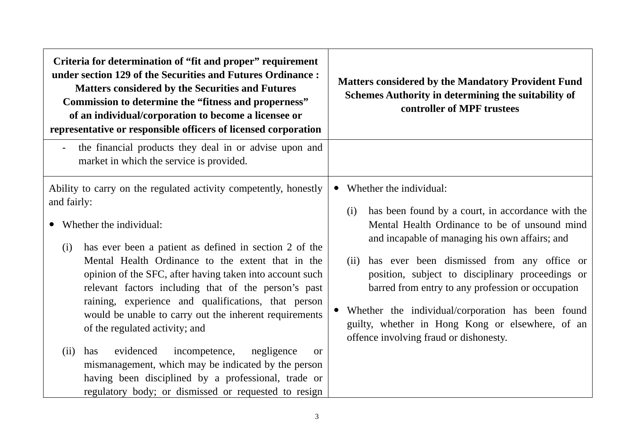| Criteria for determination of "fit and proper" requirement<br>under section 129 of the Securities and Futures Ordinance:<br><b>Matters considered by the Securities and Futures</b><br>Commission to determine the "fitness and properness"<br>of an individual/corporation to become a licensee or<br>representative or responsible officers of licensed corporation                                                                                                                                                                                                                                                                                                                                                                                 | <b>Matters considered by the Mandatory Provident Fund</b><br>Schemes Authority in determining the suitability of<br>controller of MPF trustees                                                                                                                                                                                                                                                                                                                                                           |
|-------------------------------------------------------------------------------------------------------------------------------------------------------------------------------------------------------------------------------------------------------------------------------------------------------------------------------------------------------------------------------------------------------------------------------------------------------------------------------------------------------------------------------------------------------------------------------------------------------------------------------------------------------------------------------------------------------------------------------------------------------|----------------------------------------------------------------------------------------------------------------------------------------------------------------------------------------------------------------------------------------------------------------------------------------------------------------------------------------------------------------------------------------------------------------------------------------------------------------------------------------------------------|
| the financial products they deal in or advise upon and<br>market in which the service is provided.                                                                                                                                                                                                                                                                                                                                                                                                                                                                                                                                                                                                                                                    |                                                                                                                                                                                                                                                                                                                                                                                                                                                                                                          |
| Ability to carry on the regulated activity competently, honestly<br>and fairly:<br>Whether the individual:<br>has ever been a patient as defined in section 2 of the<br>(i)<br>Mental Health Ordinance to the extent that in the<br>opinion of the SFC, after having taken into account such<br>relevant factors including that of the person's past<br>raining, experience and qualifications, that person<br>would be unable to carry out the inherent requirements<br>of the regulated activity; and<br>evidenced<br>incompetence,<br>(ii)<br>has<br>negligence<br><b>or</b><br>mismanagement, which may be indicated by the person<br>having been disciplined by a professional, trade or<br>regulatory body; or dismissed or requested to resign | Whether the individual:<br>has been found by a court, in accordance with the<br>(i)<br>Mental Health Ordinance to be of unsound mind<br>and incapable of managing his own affairs; and<br>has ever been dismissed from any office or<br>(ii)<br>position, subject to disciplinary proceedings or<br>barred from entry to any profession or occupation<br>Whether the individual/corporation has been found<br>guilty, whether in Hong Kong or elsewhere, of an<br>offence involving fraud or dishonesty. |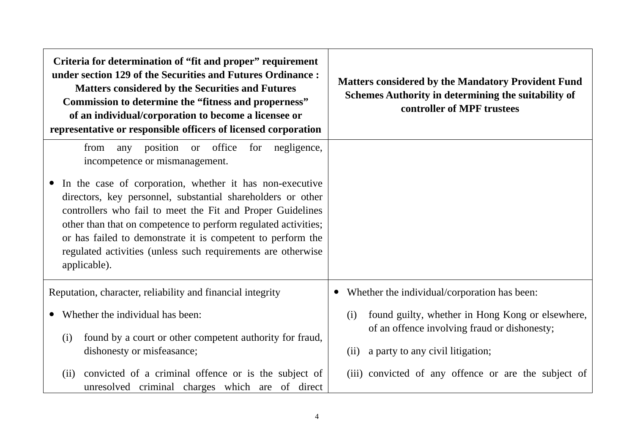| Criteria for determination of "fit and proper" requirement<br>under section 129 of the Securities and Futures Ordinance:<br><b>Matters considered by the Securities and Futures</b><br>Commission to determine the "fitness and properness"<br>of an individual/corporation to become a licensee or<br>representative or responsible officers of licensed corporation                                  | <b>Matters considered by the Mandatory Provident Fund</b><br>Schemes Authority in determining the suitability of<br>controller of MPF trustees      |
|--------------------------------------------------------------------------------------------------------------------------------------------------------------------------------------------------------------------------------------------------------------------------------------------------------------------------------------------------------------------------------------------------------|-----------------------------------------------------------------------------------------------------------------------------------------------------|
| from any position or office for negligence,<br>incompetence or mismanagement.                                                                                                                                                                                                                                                                                                                          |                                                                                                                                                     |
| In the case of corporation, whether it has non-executive<br>directors, key personnel, substantial shareholders or other<br>controllers who fail to meet the Fit and Proper Guidelines<br>other than that on competence to perform regulated activities;<br>or has failed to demonstrate it is competent to perform the<br>regulated activities (unless such requirements are otherwise<br>applicable). |                                                                                                                                                     |
| Reputation, character, reliability and financial integrity                                                                                                                                                                                                                                                                                                                                             | Whether the individual/corporation has been:                                                                                                        |
| Whether the individual has been:<br>found by a court or other competent authority for fraud,<br>(i)<br>dishonesty or misfeasance;                                                                                                                                                                                                                                                                      | found guilty, whether in Hong Kong or elsewhere,<br>(i)<br>of an offence involving fraud or dishonesty;<br>a party to any civil litigation;<br>(ii) |
| convicted of a criminal offence or is the subject of<br>(ii)<br>unresolved criminal charges which are of direct                                                                                                                                                                                                                                                                                        | (iii) convicted of any offence or are the subject of                                                                                                |

 $\mathsf{r}$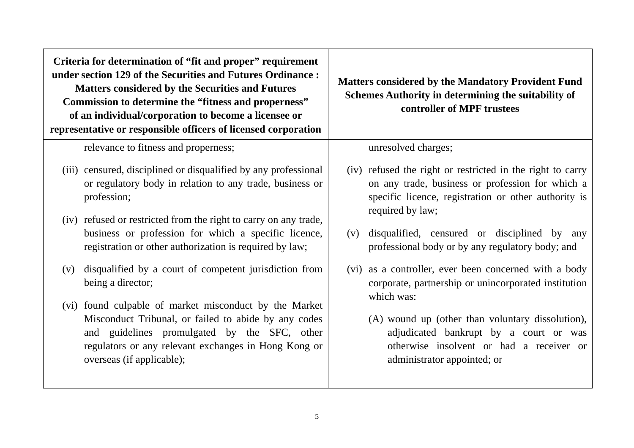**Criteria for determination of "fit and proper" requirement under section 129 of the Securities and Futures Ordinance : Matters considered by the Securities and Futures Commission to determine the "fitness and properness" of an individual/corporation to become a licensee or representative or responsible officers of licensed corporation**

relevance to fitness and properness;

- (iii) censured, disciplined or disqualified by any professional or regulatory body in relation to any trade, business or profession;
- (iv) refused or restricted from the right to carry on any trade, business or profession for which a specific licence, registration or other authorization is required by law;
- (v) disqualified by a court of competent jurisdiction from being a director;
- (vi) found culpable of market misconduct by the Market Misconduct Tribunal, or failed to abide by any codes and guidelines promulgated by the SFC, other regulators or any relevant exchanges in Hong Kong or overseas (if applicable);

**Matters considered by the Mandatory Provident Fund Schemes Authority in determining the suitability of controller of MPF trustees** 

unresolved charges;

- (iv) refused the right or restricted in the right to carry on any trade, business or profession for which a specific licence, registration or other authority is required by law;
- (v) disqualified, censured or disciplined by any professional body or by any regulatory body; and
- (vi) as a controller, ever been concerned with a body corporate, partnership or unincorporated institution which was:
	- (A) wound up (other than voluntary dissolution), adjudicated bankrupt by a court or was otherwise insolvent or had a receiver or administrator appointed; or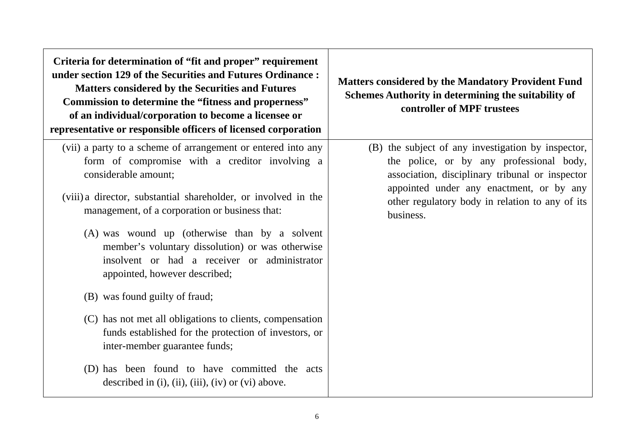**Criteria for determination of "fit and proper" requirement under section 129 of the Securities and Futures Ordinance : Matters considered by the Securities and Futures Commission to determine the "fitness and properness" of an individual/corporation to become a licensee or representative or responsible officers of licensed corporation**

- (vii) a party to a scheme of arrangement or entered into any form of compromise with a creditor involving a considerable amount;
- (viii) a director, substantial shareholder, or involved in the management, of a corporation or business that:
	- (A) was wound up (otherwise than by a solvent member's voluntary dissolution) or was otherwise insolvent or had a receiver or administrator appointed, however described;
	- (B) was found guilty of fraud;
	- (C) has not met all obligations to clients, compensation funds established for the protection of investors, or inter-member guarantee funds;
	- (D) has been found to have committed the acts described in  $(i)$ ,  $(ii)$ ,  $(iii)$ ,  $(iv)$  or  $(vi)$  above.

**Matters considered by the Mandatory Provident Fund Schemes Authority in determining the suitability of controller of MPF trustees** 

> (B) the subject of any investigation by inspector, the police, or by any professional body, association, disciplinary tribunal or inspector appointed under any enactment, or by any other regulatory body in relation to any of its business.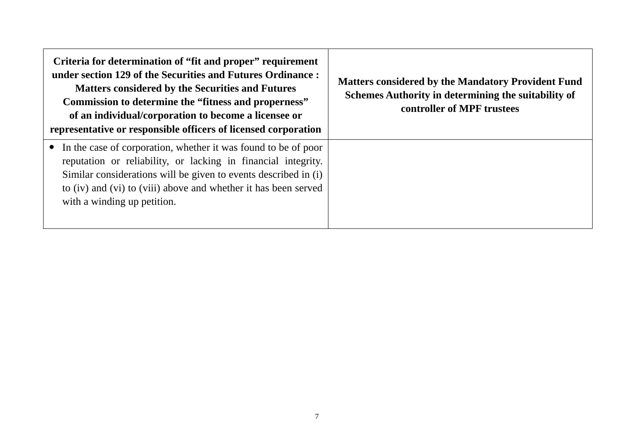| Criteria for determination of "fit and proper" requirement<br>under section 129 of the Securities and Futures Ordinance:<br><b>Matters considered by the Securities and Futures</b><br>Commission to determine the "fitness and properness"<br>of an individual/corporation to become a licensee or<br>representative or responsible officers of licensed corporation | <b>Matters considered by the Mandatory Provident Fund</b><br>Schemes Authority in determining the suitability of<br>controller of MPF trustees |
|-----------------------------------------------------------------------------------------------------------------------------------------------------------------------------------------------------------------------------------------------------------------------------------------------------------------------------------------------------------------------|------------------------------------------------------------------------------------------------------------------------------------------------|
| In the case of corporation, whether it was found to be of poor<br>reputation or reliability, or lacking in financial integrity.<br>Similar considerations will be given to events described in (i)<br>to (iv) and (vi) to (viii) above and whether it has been served<br>with a winding up petition.                                                                  |                                                                                                                                                |

 $\Gamma$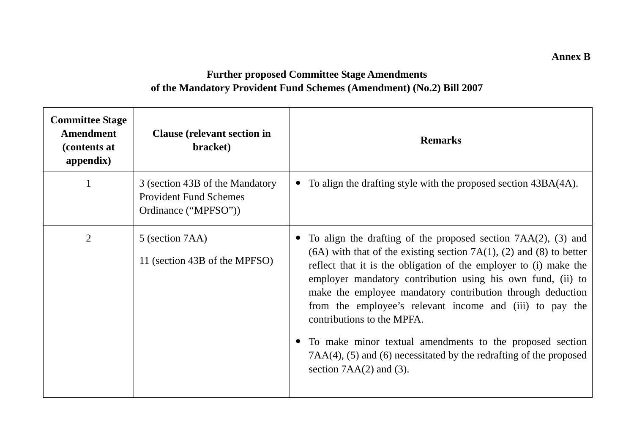**Further proposed Committee Stage Amendments of the Mandatory Provident Fund Schemes (Amendment) (No.2) Bill 2007** 

| <b>Committee Stage</b><br>Amendment<br>(contents at<br>appendix) | <b>Clause</b> (relevant section in<br>bracket)                                           | <b>Remarks</b>                                                                                                                                                                                                                                                                                                                                                                                                                                                                                                                                                                                                  |
|------------------------------------------------------------------|------------------------------------------------------------------------------------------|-----------------------------------------------------------------------------------------------------------------------------------------------------------------------------------------------------------------------------------------------------------------------------------------------------------------------------------------------------------------------------------------------------------------------------------------------------------------------------------------------------------------------------------------------------------------------------------------------------------------|
|                                                                  | 3 (section 43B of the Mandatory<br><b>Provident Fund Schemes</b><br>Ordinance ("MPFSO")) | To align the drafting style with the proposed section 43BA(4A).                                                                                                                                                                                                                                                                                                                                                                                                                                                                                                                                                 |
| $\overline{2}$                                                   | 5 (section 7AA)<br>11 (section 43B of the MPFSO)                                         | To align the drafting of the proposed section $7AA(2)$ , (3) and<br>$(6A)$ with that of the existing section 7A $(1)$ , $(2)$ and $(8)$ to better<br>reflect that it is the obligation of the employer to (i) make the<br>employer mandatory contribution using his own fund, (ii) to<br>make the employee mandatory contribution through deduction<br>from the employee's relevant income and (iii) to pay the<br>contributions to the MPFA.<br>To make minor textual amendments to the proposed section<br>$7AA(4)$ , (5) and (6) necessitated by the redrafting of the proposed<br>section $7AA(2)$ and (3). |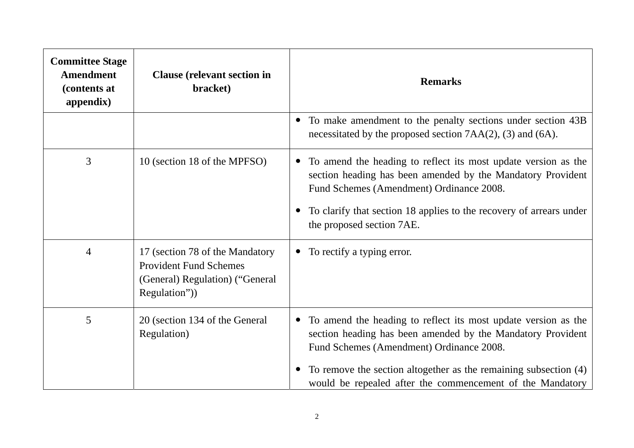| <b>Committee Stage</b><br><b>Amendment</b><br>(contents at<br>appendix) | <b>Clause</b> (relevant section in<br>bracket)                                                                      | <b>Remarks</b>                                                                                                                                                                                                                                                                                             |
|-------------------------------------------------------------------------|---------------------------------------------------------------------------------------------------------------------|------------------------------------------------------------------------------------------------------------------------------------------------------------------------------------------------------------------------------------------------------------------------------------------------------------|
|                                                                         |                                                                                                                     | To make amendment to the penalty sections under section 43B<br>$\bullet$<br>necessitated by the proposed section 7AA(2), (3) and (6A).                                                                                                                                                                     |
| 3                                                                       | 10 (section 18 of the MPFSO)                                                                                        | To amend the heading to reflect its most update version as the<br>$\bullet$<br>section heading has been amended by the Mandatory Provident<br>Fund Schemes (Amendment) Ordinance 2008.<br>To clarify that section 18 applies to the recovery of arrears under<br>the proposed section 7AE.                 |
| $\overline{4}$                                                          | 17 (section 78 of the Mandatory<br><b>Provident Fund Schemes</b><br>(General) Regulation) ("General<br>Regulation") | To rectify a typing error.<br>$\bullet$                                                                                                                                                                                                                                                                    |
| 5                                                                       | 20 (section 134 of the General<br>Regulation)                                                                       | To amend the heading to reflect its most update version as the<br>section heading has been amended by the Mandatory Provident<br>Fund Schemes (Amendment) Ordinance 2008.<br>To remove the section altogether as the remaining subsection (4)<br>would be repealed after the commencement of the Mandatory |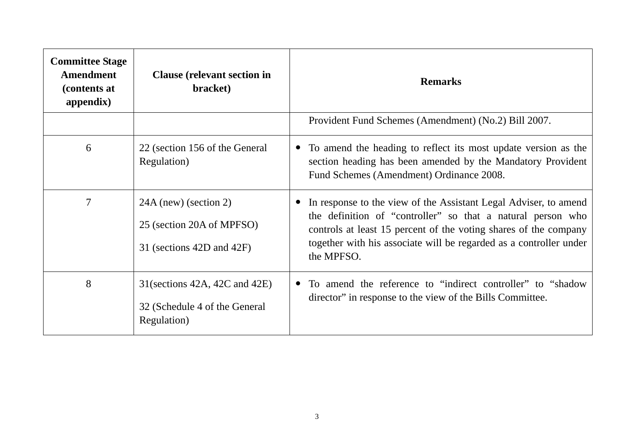| <b>Committee Stage</b><br>Amendment<br>(contents at<br>appendix) | <b>Clause</b> (relevant section in<br>bracket)                                    | <b>Remarks</b>                                                                                                                                                                                                                                                                          |
|------------------------------------------------------------------|-----------------------------------------------------------------------------------|-----------------------------------------------------------------------------------------------------------------------------------------------------------------------------------------------------------------------------------------------------------------------------------------|
|                                                                  |                                                                                   | Provident Fund Schemes (Amendment) (No.2) Bill 2007.                                                                                                                                                                                                                                    |
| 6                                                                | 22 (section 156 of the General<br>Regulation)                                     | • To amend the heading to reflect its most update version as the<br>section heading has been amended by the Mandatory Provident<br>Fund Schemes (Amendment) Ordinance 2008.                                                                                                             |
| $\overline{7}$                                                   | $24A$ (new) (section 2)<br>25 (section 20A of MPFSO)<br>31 (sections 42D and 42F) | In response to the view of the Assistant Legal Adviser, to amend<br>the definition of "controller" so that a natural person who<br>controls at least 15 percent of the voting shares of the company<br>together with his associate will be regarded as a controller under<br>the MPFSO. |
| 8                                                                | $31$ (sections 42A, 42C and 42E)<br>32 (Schedule 4 of the General<br>Regulation)  | To amend the reference to "indirect controller" to "shadow<br>director" in response to the view of the Bills Committee.                                                                                                                                                                 |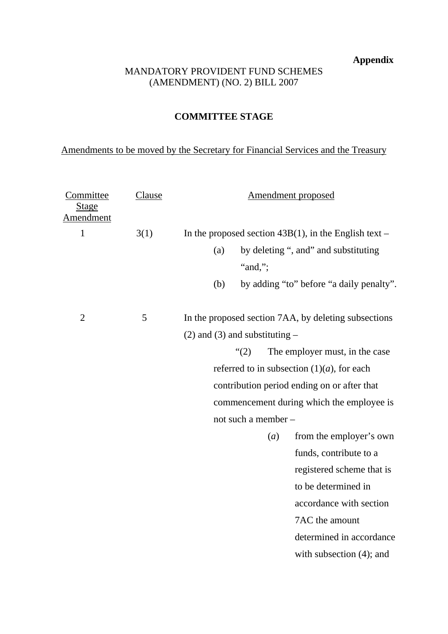**Appendix** 

#### MANDATORY PROVIDENT FUND SCHEMES (AMENDMENT) (NO. 2) BILL 2007

### **COMMITTEE STAGE**

# Amendments to be moved by the Secretary for Financial Services and the Treasury

| <u>Committee</u><br><u>Stage</u><br>Amendment | <b>Clause</b> |                                    |         |     | Amendment proposed                                       |
|-----------------------------------------------|---------------|------------------------------------|---------|-----|----------------------------------------------------------|
| $\mathbf{1}$                                  | 3(1)          |                                    |         |     | In the proposed section $43B(1)$ , in the English text – |
|                                               |               | (a)                                | "and,"; |     | by deleting ", and" and substituting                     |
|                                               |               | (b)                                |         |     | by adding "to" before "a daily penalty".                 |
| $\overline{2}$                                | 5             |                                    |         |     | In the proposed section 7AA, by deleting subsections     |
|                                               |               | $(2)$ and $(3)$ and substituting – |         |     |                                                          |
|                                               |               |                                    | (2)     |     | The employer must, in the case                           |
|                                               |               |                                    |         |     | referred to in subsection $(1)(a)$ , for each            |
|                                               |               |                                    |         |     | contribution period ending on or after that              |
|                                               |               |                                    |         |     | commencement during which the employee is                |
|                                               |               | not such a member -                |         |     |                                                          |
|                                               |               |                                    |         | (a) | from the employer's own                                  |
|                                               |               |                                    |         |     | funds, contribute to a                                   |
|                                               |               |                                    |         |     | registered scheme that is                                |
|                                               |               |                                    |         |     | to be determined in                                      |
|                                               |               |                                    |         |     | accordance with section                                  |
|                                               |               |                                    |         |     | 7AC the amount                                           |
|                                               |               |                                    |         |     | determined in accordance                                 |
|                                               |               |                                    |         |     |                                                          |
|                                               |               |                                    |         |     | with subsection $(4)$ ; and                              |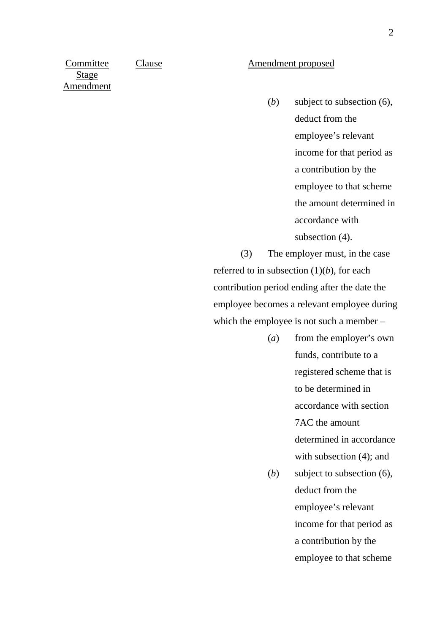**Committee** Stage Amendment

#### Clause Amendment proposed

(*b*) subject to subsection (6), deduct from the employee's relevant income for that period as a contribution by the employee to that scheme the amount determined in accordance with subsection (4).

(3) The employer must, in the case referred to in subsection (1)(*b*), for each contribution period ending after the date the employee becomes a relevant employee during which the employee is not such a member –

- (*a*) from the employer's own funds, contribute to a registered scheme that is to be determined in accordance with section 7AC the amount determined in accordance with subsection  $(4)$ ; and
- (*b*) subject to subsection (6), deduct from the employee's relevant income for that period as a contribution by the employee to that scheme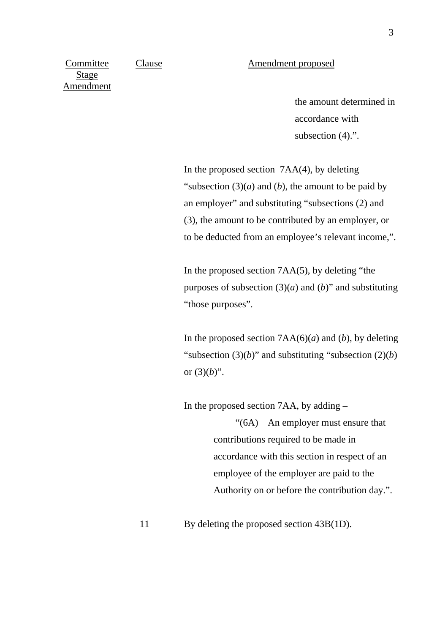Clause Amendment proposed

Committee Stage Amendment

> the amount determined in accordance with subsection  $(4)$ .".

 In the proposed section 7AA(4), by deleting "subsection  $(3)(a)$  and  $(b)$ , the amount to be paid by an employer" and substituting "subsections (2) and (3), the amount to be contributed by an employer, or to be deducted from an employee's relevant income,".

 In the proposed section 7AA(5), by deleting "the purposes of subsection  $(3)(a)$  and  $(b)$ " and substituting "those purposes".

In the proposed section  $7AA(6)(a)$  and (*b*), by deleting "subsection (3)(*b*)" and substituting "subsection (2)(*b*) or  $(3)(b)$ ".

In the proposed section 7AA, by adding –

"(6A) An employer must ensure that contributions required to be made in accordance with this section in respect of an employee of the employer are paid to the Authority on or before the contribution day.".

11 By deleting the proposed section 43B(1D).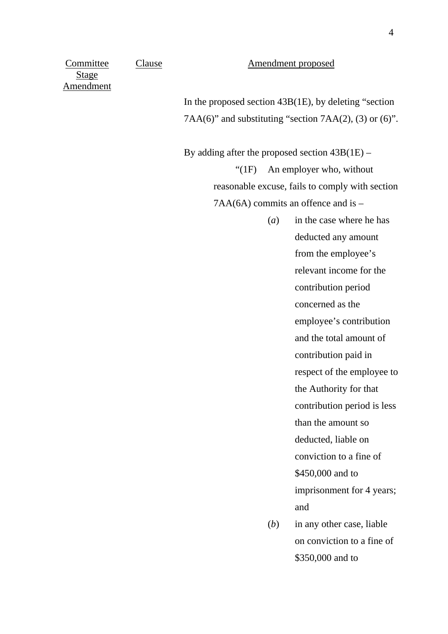Clause Amendment proposed

Committee Stage Amendment

> In the proposed section 43B(1E), by deleting "section  $7AA(6)$ " and substituting "section  $7AA(2)$ , (3) or (6)".

> By adding after the proposed section  $43B(1E)$  – "(1F) An employer who, without reasonable excuse, fails to comply with section  $7AA(6A)$  commits an offence and is  $-$

- (*a*) in the case where he has deducted any amount from the employee's relevant income for the contribution period concerned as the employee's contribution and the total amount of contribution paid in respect of the employee to the Authority for that contribution period is less than the amount so deducted, liable on conviction to a fine of \$450,000 and to imprisonment for 4 years; and
- (*b*) in any other case, liable on conviction to a fine of \$350,000 and to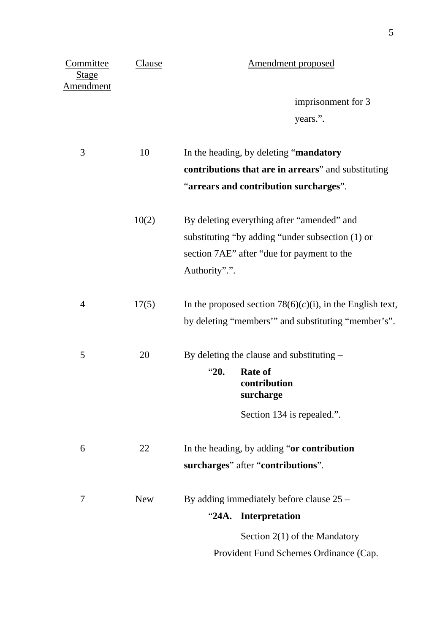| Committee<br><b>Stage</b><br><b>Amendment</b> | Clause     | <b>Amendment proposed</b>                                    |
|-----------------------------------------------|------------|--------------------------------------------------------------|
|                                               |            | imprisonment for 3                                           |
|                                               |            | years.".                                                     |
| 3                                             | 10         | In the heading, by deleting "mandatory                       |
|                                               |            | contributions that are in arrears" and substituting          |
|                                               |            | "arrears and contribution surcharges".                       |
|                                               | 10(2)      | By deleting everything after "amended" and                   |
|                                               |            | substituting "by adding "under subsection (1) or             |
|                                               |            | section 7AE" after "due for payment to the                   |
|                                               |            | Authority".".                                                |
| $\overline{4}$                                | 17(5)      | In the proposed section $78(6)(c)(i)$ , in the English text, |
|                                               |            | by deleting "members" and substituting "member's".           |
| 5                                             | 20         | By deleting the clause and substituting -                    |
|                                               |            | "20.<br><b>Rate of</b><br>contribution<br>surcharge          |
|                                               |            | Section 134 is repealed.".                                   |
| 6                                             | 22         | In the heading, by adding "or contribution"                  |
|                                               |            | surcharges" after "contributions".                           |
| 7                                             | <b>New</b> | By adding immediately before clause $25 -$                   |
|                                               |            | Interpretation<br>"24A.                                      |
|                                               |            | Section $2(1)$ of the Mandatory                              |
|                                               |            | Provident Fund Schemes Ordinance (Cap.                       |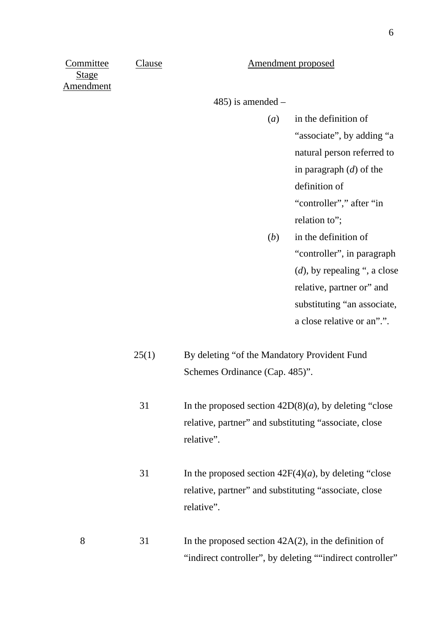#### Clause Amendment proposed

**Committee** Stage Amendment

485) is amended –

- (*a*) in the definition of "associate", by adding "a natural person referred to in paragraph (*d*) of the definition of "controller"," after "in relation to":
- (*b*) in the definition of "controller", in paragraph (*d*), by repealing ", a close relative, partner or" and substituting "an associate, a close relative or an".".
- 25(1) By deleting "of the Mandatory Provident Fund Schemes Ordinance (Cap. 485)".
	- 31 In the proposed section  $42D(8)(a)$ , by deleting "close" relative, partner" and substituting "associate, close relative".
	- 31 In the proposed section  $42F(4)(a)$ , by deleting "close" relative, partner" and substituting "associate, close relative".
- 8 31 In the proposed section 42A(2), in the definition of "indirect controller", by deleting ""indirect controller"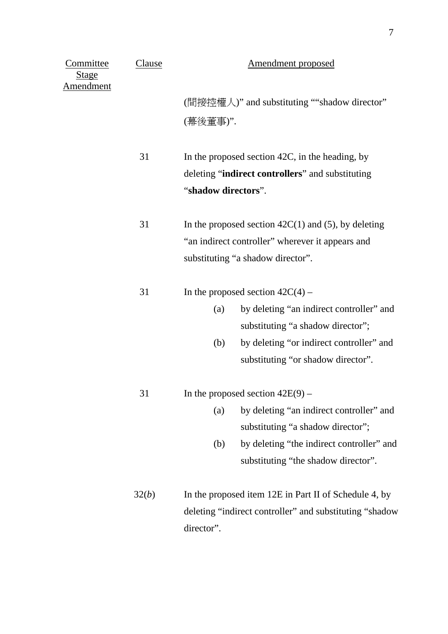| <u>Committee</u><br><u>Stage</u><br><b>Amendment</b> | Clause | Amendment proposed                                                                                                                             |  |
|------------------------------------------------------|--------|------------------------------------------------------------------------------------------------------------------------------------------------|--|
|                                                      |        | (間接控權人)" and substituting ""shadow director"                                                                                                   |  |
|                                                      |        | (幕後董事)".                                                                                                                                       |  |
|                                                      | 31     | In the proposed section 42C, in the heading, by<br>deleting "indirect controllers" and substituting                                            |  |
|                                                      |        | "shadow directors".                                                                                                                            |  |
|                                                      | 31     | In the proposed section $42C(1)$ and (5), by deleting<br>"an indirect controller" wherever it appears and<br>substituting "a shadow director". |  |
|                                                      | 31     | In the proposed section $42C(4)$ –                                                                                                             |  |
|                                                      |        | by deleting "an indirect controller" and<br>(a)                                                                                                |  |
|                                                      |        | substituting "a shadow director";                                                                                                              |  |
|                                                      |        | by deleting "or indirect controller" and<br>(b)                                                                                                |  |
|                                                      |        | substituting "or shadow director".                                                                                                             |  |
|                                                      | 31     | In the proposed section $42E(9)$ –                                                                                                             |  |
|                                                      |        | by deleting "an indirect controller" and<br>(a)                                                                                                |  |
|                                                      |        | substituting "a shadow director";                                                                                                              |  |
|                                                      |        | by deleting "the indirect controller" and<br>(b)                                                                                               |  |
|                                                      |        | substituting "the shadow director".                                                                                                            |  |
|                                                      | 32(b)  | In the proposed item 12E in Part II of Schedule 4, by                                                                                          |  |
|                                                      |        | deleting "indirect controller" and substituting "shadow                                                                                        |  |
|                                                      |        | director".                                                                                                                                     |  |

7